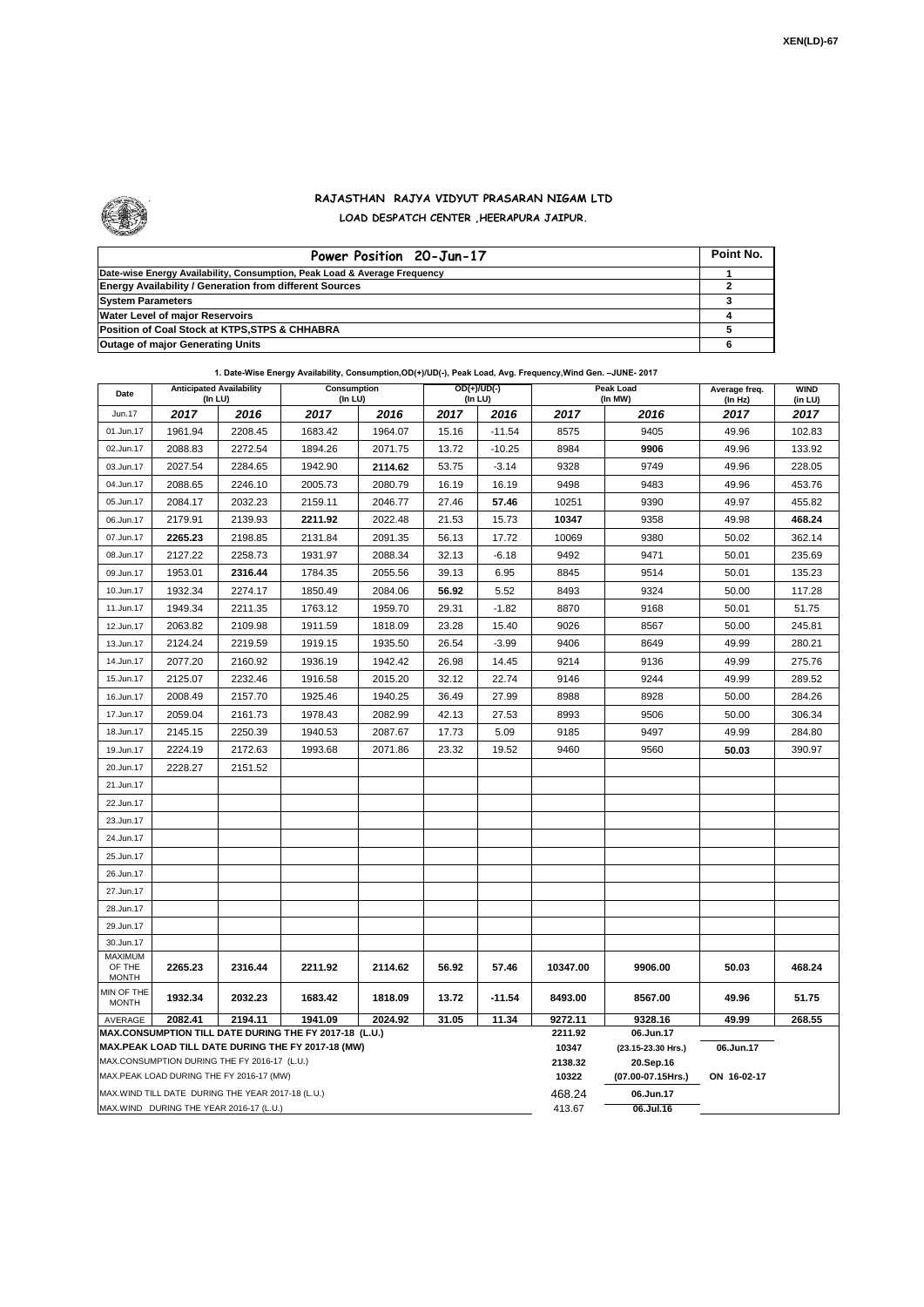

## **RAJASTHAN RAJYA VIDYUT PRASARAN NIGAM LTD LOAD DESPATCH CENTER ,HEERAPURA JAIPUR.**

| Power Position 20-Jun-17                                                  | Point No. |
|---------------------------------------------------------------------------|-----------|
| Date-wise Energy Availability, Consumption, Peak Load & Average Frequency |           |
| <b>Energy Availability / Generation from different Sources</b>            |           |
| <b>System Parameters</b>                                                  |           |
| <b>Water Level of major Reservoirs</b>                                    |           |
| Position of Coal Stock at KTPS, STPS & CHHABRA                            |           |
| Outage of major Generating Units                                          |           |

| Date                                                                                                         | $\alpha$ . Date-vise Litergy Availability, Consumption,OD( $\gamma$ ,OD( $\gamma$ , Fear Load, Avg. Frequency, villa Gen. -Sont-2011<br><b>Anticipated Availability</b><br>Consumption<br>$($ In LU $)$<br>(In LU) |         |         | $OD(+)/UD(-)$<br>(In LU) |       | Peak Load<br>(In MW) | Average freq.<br>(In Hz)        | <b>WIND</b><br>(in LU) |       |        |  |  |
|--------------------------------------------------------------------------------------------------------------|--------------------------------------------------------------------------------------------------------------------------------------------------------------------------------------------------------------------|---------|---------|--------------------------|-------|----------------------|---------------------------------|------------------------|-------|--------|--|--|
| Jun.17                                                                                                       | 2017                                                                                                                                                                                                               | 2016    | 2017    | 2016                     | 2017  | 2016                 | 2017                            | 2016                   | 2017  | 2017   |  |  |
| 01.Jun.17                                                                                                    | 1961.94                                                                                                                                                                                                            | 2208.45 | 1683.42 | 1964.07                  | 15.16 | $-11.54$             | 8575                            | 9405                   | 49.96 | 102.83 |  |  |
| 02.Jun.17                                                                                                    | 2088.83                                                                                                                                                                                                            | 2272.54 | 1894.26 | 2071.75                  | 13.72 | $-10.25$             | 8984                            | 9906                   | 49.96 | 133.92 |  |  |
| 03.Jun.17                                                                                                    | 2027.54                                                                                                                                                                                                            | 2284.65 | 1942.90 | 2114.62                  | 53.75 | $-3.14$              | 9328                            | 9749                   | 49.96 | 228.05 |  |  |
| 04.Jun.17                                                                                                    | 2088.65                                                                                                                                                                                                            | 2246.10 | 2005.73 | 2080.79                  | 16.19 | 16.19                | 9498                            | 9483                   | 49.96 | 453.76 |  |  |
| 05.Jun.17                                                                                                    | 2084.17                                                                                                                                                                                                            | 2032.23 | 2159.11 | 2046.77                  | 27.46 | 57.46                | 10251                           | 9390                   | 49.97 | 455.82 |  |  |
| 06.Jun.17                                                                                                    | 2179.91                                                                                                                                                                                                            | 2139.93 | 2211.92 | 2022.48                  | 21.53 | 15.73                | 10347                           | 9358                   | 49.98 | 468.24 |  |  |
| 07.Jun.17                                                                                                    | 2265.23                                                                                                                                                                                                            | 2198.85 | 2131.84 | 2091.35                  | 56.13 | 17.72                | 10069                           | 9380                   | 50.02 | 362.14 |  |  |
| 08.Jun.17                                                                                                    | 2127.22                                                                                                                                                                                                            | 2258.73 | 1931.97 | 2088.34                  | 32.13 | $-6.18$              | 9492                            | 9471                   | 50.01 | 235.69 |  |  |
| 09.Jun.17                                                                                                    | 1953.01                                                                                                                                                                                                            | 2316.44 | 1784.35 | 2055.56                  | 39.13 | 6.95                 | 8845                            | 9514                   | 50.01 | 135.23 |  |  |
| 10.Jun.17                                                                                                    | 1932.34                                                                                                                                                                                                            | 2274.17 | 1850.49 | 2084.06                  | 56.92 | 5.52                 | 8493                            | 9324                   | 50.00 | 117.28 |  |  |
| 11.Jun.17                                                                                                    | 1949.34                                                                                                                                                                                                            | 2211.35 | 1763.12 | 1959.70                  | 29.31 | $-1.82$              | 8870                            | 9168                   | 50.01 | 51.75  |  |  |
| 12.Jun.17                                                                                                    | 2063.82                                                                                                                                                                                                            | 2109.98 | 1911.59 | 1818.09                  | 23.28 | 15.40                | 9026                            | 8567                   | 50.00 | 245.81 |  |  |
| 13.Jun.17                                                                                                    | 2124.24                                                                                                                                                                                                            | 2219.59 | 1919.15 | 1935.50                  | 26.54 | $-3.99$              | 9406                            | 8649                   | 49.99 | 280.21 |  |  |
| 14.Jun.17                                                                                                    | 2077.20                                                                                                                                                                                                            | 2160.92 | 1936.19 | 1942.42                  | 26.98 | 14.45                | 9214                            | 9136                   | 49.99 | 275.76 |  |  |
| 15.Jun.17                                                                                                    | 2125.07                                                                                                                                                                                                            | 2232.46 | 1916.58 | 2015.20                  | 32.12 | 22.74                | 9146                            | 9244                   | 49.99 | 289.52 |  |  |
| 16.Jun.17                                                                                                    | 2008.49                                                                                                                                                                                                            | 2157.70 | 1925.46 | 1940.25                  | 36.49 | 27.99                | 8988                            | 8928                   | 50.00 | 284.26 |  |  |
| 17.Jun.17                                                                                                    | 2059.04                                                                                                                                                                                                            | 2161.73 | 1978.43 | 2082.99                  | 42.13 | 27.53                | 8993                            | 9506                   | 50.00 | 306.34 |  |  |
| 18.Jun.17                                                                                                    | 2145.15                                                                                                                                                                                                            | 2250.39 | 1940.53 | 2087.67                  | 17.73 | 5.09                 | 9185                            | 9497                   | 49.99 | 284.80 |  |  |
| 19.Jun.17                                                                                                    | 2224.19                                                                                                                                                                                                            | 2172.63 | 1993.68 | 2071.86                  | 23.32 | 19.52                | 9460                            | 9560                   | 50.03 | 390.97 |  |  |
| 20.Jun.17                                                                                                    | 2228.27                                                                                                                                                                                                            | 2151.52 |         |                          |       |                      |                                 |                        |       |        |  |  |
| 21.Jun.17                                                                                                    |                                                                                                                                                                                                                    |         |         |                          |       |                      |                                 |                        |       |        |  |  |
| 22.Jun.17                                                                                                    |                                                                                                                                                                                                                    |         |         |                          |       |                      |                                 |                        |       |        |  |  |
| 23.Jun.17                                                                                                    |                                                                                                                                                                                                                    |         |         |                          |       |                      |                                 |                        |       |        |  |  |
| 24.Jun.17                                                                                                    |                                                                                                                                                                                                                    |         |         |                          |       |                      |                                 |                        |       |        |  |  |
| 25.Jun.17                                                                                                    |                                                                                                                                                                                                                    |         |         |                          |       |                      |                                 |                        |       |        |  |  |
| 26.Jun.17                                                                                                    |                                                                                                                                                                                                                    |         |         |                          |       |                      |                                 |                        |       |        |  |  |
| 27.Jun.17                                                                                                    |                                                                                                                                                                                                                    |         |         |                          |       |                      |                                 |                        |       |        |  |  |
| 28.Jun.17                                                                                                    |                                                                                                                                                                                                                    |         |         |                          |       |                      |                                 |                        |       |        |  |  |
| 29.Jun.17                                                                                                    |                                                                                                                                                                                                                    |         |         |                          |       |                      |                                 |                        |       |        |  |  |
| 30.Jun.17                                                                                                    |                                                                                                                                                                                                                    |         |         |                          |       |                      |                                 |                        |       |        |  |  |
| MAXIMUM<br>OF THE                                                                                            | 2265.23                                                                                                                                                                                                            | 2316.44 | 2211.92 | 2114.62                  | 56.92 | 57.46                | 10347.00                        | 9906.00                | 50.03 | 468.24 |  |  |
| <b>MONTH</b>                                                                                                 |                                                                                                                                                                                                                    |         |         |                          |       |                      |                                 |                        |       |        |  |  |
| MIN OF THE<br><b>MONTH</b>                                                                                   | 1932.34                                                                                                                                                                                                            | 2032.23 | 1683.42 | 1818.09                  | 13.72 | $-11.54$             | 8493.00                         | 8567.00                | 49.96 | 51.75  |  |  |
| AVERAGE<br>2194.11<br>2082.41<br>1941.09<br>2024.92<br>31.05<br>11.34                                        |                                                                                                                                                                                                                    |         |         |                          |       |                      | 9272.11                         | 9328.16                | 49.99 | 268.55 |  |  |
| MAX.CONSUMPTION TILL DATE DURING THE FY 2017-18 (L.U.)<br>MAX.PEAK LOAD TILL DATE DURING THE FY 2017-18 (MW) |                                                                                                                                                                                                                    |         |         |                          |       | 2211.92              | 06.Jun.17                       |                        |       |        |  |  |
| MAX.CONSUMPTION DURING THE FY 2016-17 (L.U.)                                                                 |                                                                                                                                                                                                                    |         |         |                          |       | 10347<br>2138.32     | (23.15-23.30 Hrs.)<br>20.Sep.16 | 06.Jun.17              |       |        |  |  |
| MAX.PEAK LOAD DURING THE FY 2016-17 (MW)                                                                     |                                                                                                                                                                                                                    |         |         |                          |       | 10322                | (07.00-07.15Hrs.)               | ON 16-02-17            |       |        |  |  |
| MAX.WIND TILL DATE DURING THE YEAR 2017-18 (L.U.)                                                            |                                                                                                                                                                                                                    |         |         |                          |       |                      | 468.24                          | 06.Jun.17              |       |        |  |  |
| MAX.WIND DURING THE YEAR 2016-17 (L.U.)                                                                      |                                                                                                                                                                                                                    |         |         |                          |       |                      | 413.67                          | 06.Jul.16              |       |        |  |  |

**1. Date-Wise Energy Availability, Consumption,OD(+)/UD(-), Peak Load, Avg. Frequency,Wind Gen. –JUNE- 2017**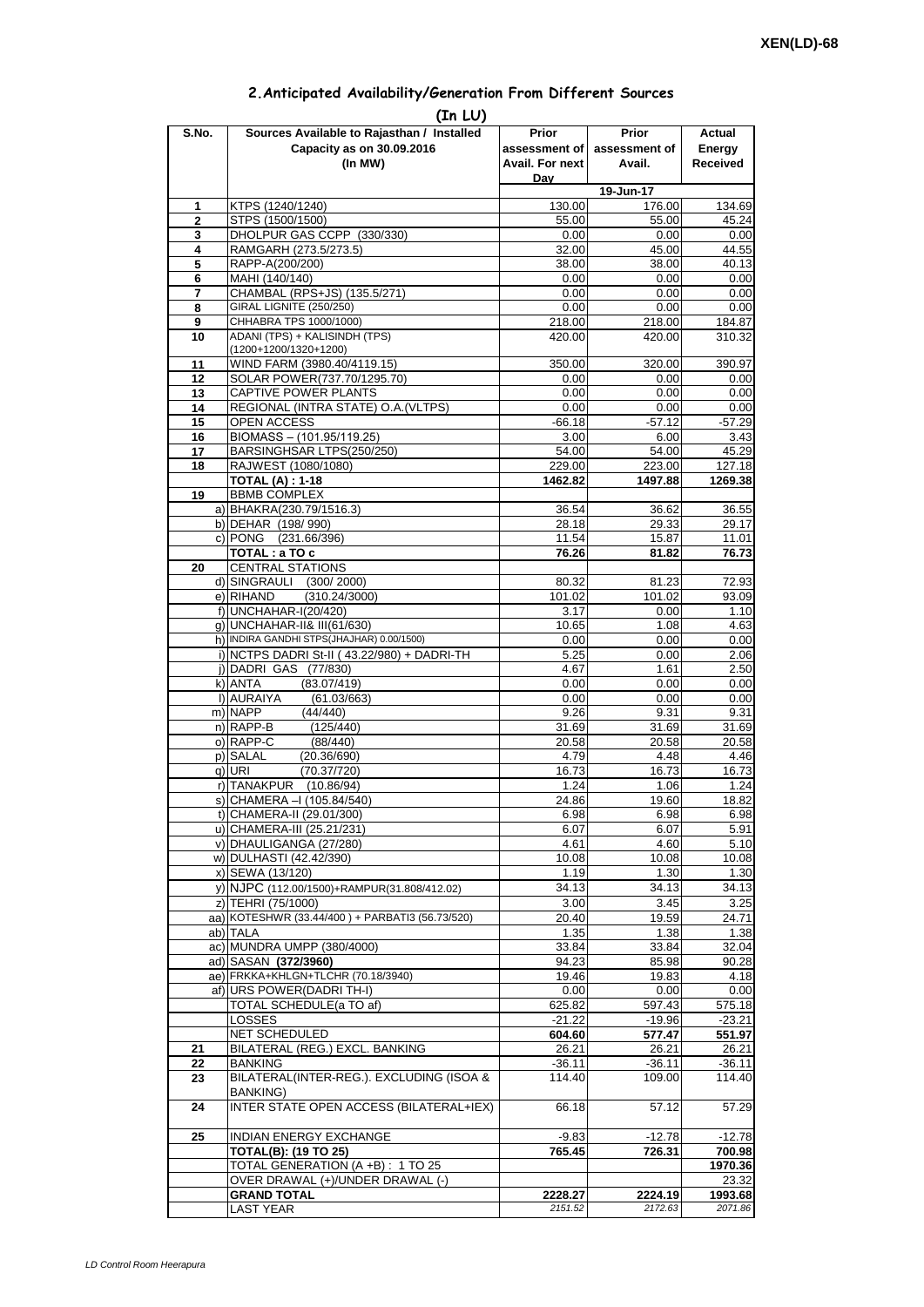| 2. Anticipated Availability/Generation From Different Sources |  |  |  |  |  |  |
|---------------------------------------------------------------|--|--|--|--|--|--|
|---------------------------------------------------------------|--|--|--|--|--|--|

| S.No.               | (In LU)<br>Sources Available to Rajasthan / Installed            | Prior            | <b>Prior</b>     | Actual            |
|---------------------|------------------------------------------------------------------|------------------|------------------|-------------------|
|                     | Capacity as on 30.09.2016                                        | assessment of    | assessment of    | Energy            |
|                     | (In MW)                                                          | Avail. For next  | Avail.           | <b>Received</b>   |
|                     |                                                                  | Day              |                  |                   |
|                     |                                                                  |                  | 19-Jun-17        |                   |
| 1<br>$\overline{2}$ | KTPS (1240/1240)<br>STPS (1500/1500)                             | 130.00<br>55.00  | 176.00<br>55.00  | 134.69<br>45.24   |
| 3                   | DHOLPUR GAS CCPP (330/330)                                       | 0.00             | 0.00             | 0.00              |
| 4                   | RAMGARH (273.5/273.5)                                            | 32.00            | 45.00            | 44.55             |
| 5                   | RAPP-A(200/200)                                                  | 38.00            | 38.00            | 40.13             |
| 6                   | MAHI (140/140)                                                   | 0.00             | 0.00             | 0.00              |
| 7                   | CHAMBAL (RPS+JS) (135.5/271)                                     | 0.00             | 0.00             | 0.00              |
| 8                   | GIRAL LIGNITE (250/250)                                          | 0.00             | 0.00             | 0.00              |
| 9<br>10             | CHHABRA TPS 1000/1000)<br>ADANI (TPS) + KALISINDH (TPS)          | 218.00<br>420.00 | 218.00<br>420.00 | 184.87<br>310.32  |
|                     | (1200+1200/1320+1200)                                            |                  |                  |                   |
| 11                  | WIND FARM (3980.40/4119.15)                                      | 350.00           | 320.00           | 390.97            |
| 12                  | SOLAR POWER(737.70/1295.70)                                      | 0.00             | 0.00             | 0.00              |
| 13                  | CAPTIVE POWER PLANTS                                             | 0.00             | 0.00             | 0.00              |
| 14                  | REGIONAL (INTRA STATE) O.A. (VLTPS)                              | 0.00             | 0.00             | 0.00              |
| 15                  | OPEN ACCESS                                                      | $-66.18$<br>3.00 | $-57.12$         | $-57.29$          |
| 16<br>17            | BIOMASS - (101.95/119.25)<br>BARSINGHSAR LTPS(250/250)           | 54.00            | 6.00<br>54.00    | 3.43<br>45.29     |
| 18                  | RAJWEST (1080/1080)                                              | 229.00           | 223.00           | 127.18            |
|                     | <b>TOTAL (A): 1-18</b>                                           | 1462.82          | 1497.88          | 1269.38           |
| 19                  | <b>BBMB COMPLEX</b>                                              |                  |                  |                   |
|                     | a) BHAKRA(230.79/1516.3)                                         | 36.54            | 36.62            | 36.55             |
|                     | b) DEHAR (198/990)                                               | 28.18            | 29.33            | 29.17             |
|                     | c) PONG (231.66/396)                                             | 11.54            | 15.87            | 11.01             |
|                     | TOTAL: a TO c<br><b>CENTRAL STATIONS</b>                         | 76.26            | 81.82            | 76.73             |
| 20                  | d) SINGRAULI<br>(300/2000)                                       | 80.32            | 81.23            | 72.93             |
|                     | e) RIHAND<br>(310.24/3000)                                       | 101.02           | 101.02           | 93.09             |
|                     | f) UNCHAHAR-I(20/420)                                            | 3.17             | 0.00             | 1.10              |
|                     | q) UNCHAHAR-II& III(61/630)                                      | 10.65            | 1.08             | 4.63              |
|                     | h) INDIRA GANDHI STPS(JHAJHAR) 0.00/1500)                        | 0.00             | 0.00             | 0.00              |
|                     | i) NCTPS DADRI St-II (43.22/980) + DADRI-TH                      | 5.25             | 0.00             | 2.06              |
|                     | j) DADRI GAS (77/830)                                            | 4.67             | 1.61             | 2.50              |
|                     | k) ANTA<br>(83.07/419)<br>I) AURAIYA                             | 0.00             | 0.00             | 0.00              |
|                     | (61.03/663)<br>m) NAPP<br>(44/440)                               | 0.00<br>9.26     | 0.00<br>9.31     | 0.00<br>9.31      |
|                     | n) RAPP-B<br>(125/440)                                           | 31.69            | 31.69            | 31.69             |
|                     | o) RAPP-C<br>(88/440)                                            | 20.58            | 20.58            | 20.58             |
|                     | p) SALAL<br>(20.36/690)                                          | 4.79             | 4.48             | 4.46              |
|                     | (70.37/720)<br>q) URI                                            | 16.73            | 16.73            | 16.73             |
|                     | r) TANAKPUR<br>(10.86/94)                                        | 1.24             | 1.06             | 1.24              |
|                     | S) CHAMERA –I (105.84/540)                                       | 24.86            | 19.60            | 18.82             |
|                     | t) CHAMERA-II (29.01/300)<br>u) CHAMERA-III (25.21/231)          | 6.98             | 6.98             | 6.98              |
|                     | v) DHAULIGANGA (27/280)                                          | 6.07<br>4.61     | 6.07<br>4.60     | 5.91<br>5.10      |
|                     | w) DULHASTI (42.42/390)                                          | 10.08            | 10.08            | 10.08             |
|                     | x) SEWA (13/120)                                                 | 1.19             | 1.30             | 1.30              |
|                     | y) NJPC (112.00/1500)+RAMPUR(31.808/412.02)                      | 34.13            | 34.13            | 34.13             |
|                     | z) TEHRI (75/1000)                                               | 3.00             | 3.45             | 3.25              |
|                     | aa) KOTESHWR (33.44/400) + PARBATI3 (56.73/520)                  | 20.40            | 19.59            | 24.71             |
|                     | ab) TALA                                                         | 1.35             | 1.38             | 1.38              |
|                     | ac) MUNDRA UMPP (380/4000)                                       | 33.84            | 33.84            | 32.04             |
|                     | ad) SASAN (372/3960)<br>ae) FRKKA+KHLGN+TLCHR (70.18/3940)       | 94.23            | 85.98            | 90.28<br>4.18     |
|                     | af) URS POWER(DADRI TH-I)                                        | 19.46<br>0.00    | 19.83<br>0.00    | 0.00              |
|                     | TOTAL SCHEDULE(a TO af)                                          | 625.82           | 597.43           | 575.18            |
|                     | <b>LOSSES</b>                                                    | $-21.22$         | $-19.96$         | $-23.21$          |
|                     | NET SCHEDULED                                                    | 604.60           | 577.47           | 551.97            |
| 21                  | BILATERAL (REG.) EXCL. BANKING                                   | 26.21            | 26.21            | 26.21             |
| 22                  | <b>BANKING</b>                                                   | $-36.11$         | $-36.11$         | $-36.11$          |
| 23                  | BILATERAL(INTER-REG.). EXCLUDING (ISOA &                         | 114.40           | 109.00           | 114.40            |
| 24                  | <b>BANKING)</b><br>INTER STATE OPEN ACCESS (BILATERAL+IEX)       | 66.18            | 57.12            | 57.29             |
|                     |                                                                  |                  |                  |                   |
| 25                  | INDIAN ENERGY EXCHANGE                                           | $-9.83$          | $-12.78$         | $-12.78$          |
|                     | <b>TOTAL(B): (19 TO 25)</b><br>TOTAL GENERATION (A +B) : 1 TO 25 | 765.45           | 726.31           | 700.98<br>1970.36 |
|                     | OVER DRAWAL (+)/UNDER DRAWAL (-)                                 |                  |                  | 23.32             |
|                     | <b>GRAND TOTAL</b>                                               | 2228.27          | 2224.19          | 1993.68           |
|                     | <b>LAST YEAR</b>                                                 | 2151.52          | 2172.63          | 2071.86           |